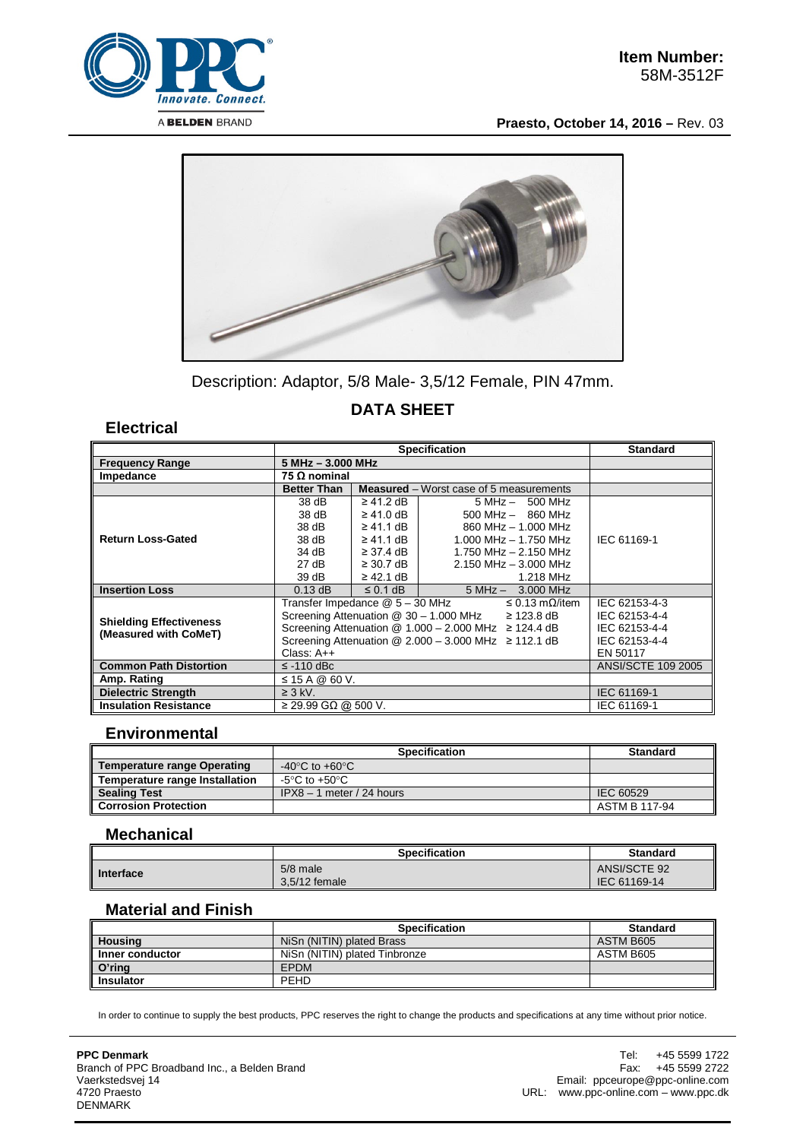

**Praesto, October 14, 2016 –** Rev. 03



Description: Adaptor, 5/8 Male- 3,5/12 Female, PIN 47mm.

# **DATA SHEET**

**Electrical**

|                                                         | <b>Specification</b>                                                     |                |                                                | <b>Standard</b>           |
|---------------------------------------------------------|--------------------------------------------------------------------------|----------------|------------------------------------------------|---------------------------|
| <b>Frequency Range</b>                                  | 5 MHz - 3.000 MHz                                                        |                |                                                |                           |
| Impedance                                               | 75 Ω nominal                                                             |                |                                                |                           |
|                                                         | <b>Better Than</b>                                                       |                | <b>Measured</b> – Worst case of 5 measurements |                           |
| <b>Return Loss-Gated</b>                                | 38 dB                                                                    | $\geq$ 41.2 dB | $5 MHz - 500 MHz$                              |                           |
|                                                         | 38 dB                                                                    | $\geq 41.0$ dB | $500$ MHz $-$ 860 MHz                          |                           |
|                                                         | 38 dB                                                                    | $\geq$ 41.1 dB | 860 MHz - 1.000 MHz                            |                           |
|                                                         | 38 dB                                                                    | $\geq$ 41.1 dB | 1.000 MHz $-$ 1.750 MHz                        | IEC 61169-1               |
|                                                         | 34 dB                                                                    | $\geq$ 37.4 dB | 1.750 MHz - 2.150 MHz                          |                           |
|                                                         | 27 dB                                                                    | $\geq$ 30.7 dB | $2.150$ MHz $-$ 3.000 MHz                      |                           |
|                                                         | 39dB                                                                     | $\geq$ 42.1 dB | 1.218 MHz                                      |                           |
| <b>Insertion Loss</b>                                   | $0.13$ dB                                                                | $\leq$ 0.1 dB  | $5 MHz - 3.000 MHz$                            |                           |
| <b>Shielding Effectiveness</b><br>(Measured with CoMeT) | Transfer Impedance @ 5 - 30 MHz<br>$\leq$ 0.13 m $\Omega$ /item          |                |                                                | IEC 62153-4-3             |
|                                                         | Screening Attenuation $@30 - 1.000$ MHz<br>$\geq$ 123.8 dB               |                |                                                | IEC 62153-4-4             |
|                                                         | Screening Attenuation $@ 1.000 - 2.000 \text{ MHz} \ge 124.4 \text{ dB}$ |                |                                                | IEC 62153-4-4             |
|                                                         | Screening Attenuation $@ 2.000 - 3.000 \text{ MHz} \ge 112.1 \text{ dB}$ |                |                                                | IEC 62153-4-4             |
|                                                         | Class: $A++$                                                             |                |                                                | EN 50117                  |
| <b>Common Path Distortion</b>                           | $\le$ -110 dBc                                                           |                |                                                | <b>ANSI/SCTE 109 2005</b> |
| Amp. Rating                                             | $\leq$ 15 A @ 60 V.                                                      |                |                                                |                           |
| <b>Dielectric Strength</b>                              | $\geq$ 3 kV.                                                             |                |                                                | IEC 61169-1               |
| <b>Insulation Resistance</b>                            | $\geq$ 29.99 GΩ @ 500 V.                                                 |                |                                                | IEC 61169-1               |

### **Environmental**

|                                    | <b>Specification</b>                 | <b>Standard</b> |
|------------------------------------|--------------------------------------|-----------------|
| <b>Temperature range Operating</b> | -40 $^{\circ}$ C to +60 $^{\circ}$ C |                 |
| Temperature range Installation     | -5°C to +50°C                        |                 |
| <b>Sealing Test</b>                | $IPX8 - 1$ meter / 24 hours          | IEC 60529       |
| <b>Corrosion Protection</b>        |                                      | ASTM B 117-94   |

### **Mechanical**

|           | Specification                 | <b>Standard</b>              |
|-----------|-------------------------------|------------------------------|
| Interface | $5/8$ male<br>$3.5/12$ female | ANSI/SCTE 92<br>IEC 61169-14 |

#### **Material and Finish**

|                  | <b>Specification</b>          | <b>Standard</b> |
|------------------|-------------------------------|-----------------|
| <b>Housing</b>   | NiSn (NITIN) plated Brass     | ASTM B605       |
| Inner conductor  | NiSn (NITIN) plated Tinbronze | ASTM B605       |
| O'ring           | <b>EPDM</b>                   |                 |
| <b>Insulator</b> | <b>PEHD</b>                   |                 |

In order to continue to supply the best products, PPC reserves the right to change the products and specifications at any time without prior notice.

**PPC Denmark** Branch of PPC Broadband Inc., a Belden Brand Vaerkstedsvej 14 4720 Praesto DENMARK

Tel: +45 5599 1722 Fax: +45 5599 2722 Email: ppceurope@ppc-online.com URL: www.ppc-online.com – www.ppc.dk